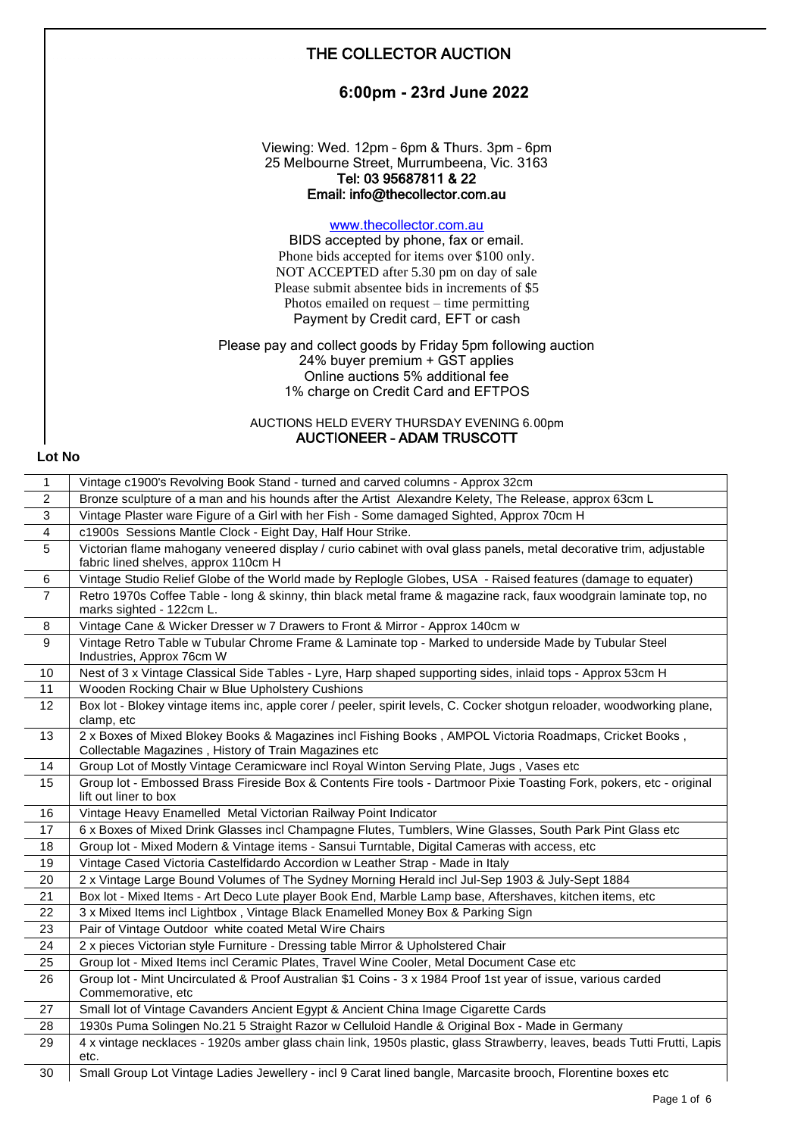| 6:00pm - 23rd June 2022                                                                                                                                                                                                                                                                                     |
|-------------------------------------------------------------------------------------------------------------------------------------------------------------------------------------------------------------------------------------------------------------------------------------------------------------|
| Viewing: Wed. 12pm - 6pm & Thurs. 3pm - 6pm<br>25 Melbourne Street, Murrumbeena, Vic. 3163<br>Tel: 03 95687811 & 22<br>Email: info@thecollector.com.au                                                                                                                                                      |
| www.thecollector.com.au<br>BIDS accepted by phone, fax or email.<br>Phone bids accepted for items over \$100 only.<br>NOT ACCEPTED after 5.30 pm on day of sale<br>Please submit absentee bids in increments of \$5<br>Photos emailed on request $-$ time permitting<br>Payment by Credit card, EFT or cash |
| Please pay and collect goods by Friday 5pm following auction<br>24% buyer premium + GST applies<br>Online auctions 5% additional fee<br>1% charge on Credit Card and EFTPOS                                                                                                                                 |
| AUCTIONS HELD EVERY THURSDAY EVENING 6.00pm<br><b>AUCTIONEER - ADAM TRUSCOTT</b><br>Lot No                                                                                                                                                                                                                  |
|                                                                                                                                                                                                                                                                                                             |

| $\mathbf{1}$   | Vintage c1900's Revolving Book Stand - turned and carved columns - Approx 32cm                                                                                   |
|----------------|------------------------------------------------------------------------------------------------------------------------------------------------------------------|
| 2              | Bronze sculpture of a man and his hounds after the Artist Alexandre Kelety, The Release, approx 63cm L                                                           |
| 3              | Vintage Plaster ware Figure of a Girl with her Fish - Some damaged Sighted, Approx 70cm H                                                                        |
| 4              | c1900s Sessions Mantle Clock - Eight Day, Half Hour Strike.                                                                                                      |
| 5              | Victorian flame mahogany veneered display / curio cabinet with oval glass panels, metal decorative trim, adjustable<br>fabric lined shelves, approx 110cm H      |
| 6              | Vintage Studio Relief Globe of the World made by Replogle Globes, USA - Raised features (damage to equater)                                                      |
| $\overline{7}$ | Retro 1970s Coffee Table - long & skinny, thin black metal frame & magazine rack, faux woodgrain laminate top, no<br>marks sighted - 122cm L.                    |
| 8              | Vintage Cane & Wicker Dresser w 7 Drawers to Front & Mirror - Approx 140cm w                                                                                     |
| 9              | Vintage Retro Table w Tubular Chrome Frame & Laminate top - Marked to underside Made by Tubular Steel<br>Industries, Approx 76cm W                               |
| 10             | Nest of 3 x Vintage Classical Side Tables - Lyre, Harp shaped supporting sides, inlaid tops - Approx 53cm H                                                      |
| 11             | Wooden Rocking Chair w Blue Upholstery Cushions                                                                                                                  |
| 12             | Box lot - Blokey vintage items inc, apple corer / peeler, spirit levels, C. Cocker shotgun reloader, woodworking plane,<br>clamp, etc                            |
| 13             | 2 x Boxes of Mixed Blokey Books & Magazines incl Fishing Books, AMPOL Victoria Roadmaps, Cricket Books,<br>Collectable Magazines, History of Train Magazines etc |
| 14             | Group Lot of Mostly Vintage Ceramicware incl Royal Winton Serving Plate, Jugs, Vases etc                                                                         |
| 15             | Group lot - Embossed Brass Fireside Box & Contents Fire tools - Dartmoor Pixie Toasting Fork, pokers, etc - original<br>lift out liner to box                    |
| 16             | Vintage Heavy Enamelled Metal Victorian Railway Point Indicator                                                                                                  |
| 17             | 6 x Boxes of Mixed Drink Glasses incl Champagne Flutes, Tumblers, Wine Glasses, South Park Pint Glass etc                                                        |
| 18             | Group lot - Mixed Modern & Vintage items - Sansui Turntable, Digital Cameras with access, etc                                                                    |
| 19             | Vintage Cased Victoria Castelfidardo Accordion w Leather Strap - Made in Italy                                                                                   |
| 20             | 2 x Vintage Large Bound Volumes of The Sydney Morning Herald incl Jul-Sep 1903 & July-Sept 1884                                                                  |
| 21             | Box lot - Mixed Items - Art Deco Lute player Book End, Marble Lamp base, Aftershaves, kitchen items, etc                                                         |
| 22             | 3 x Mixed Items incl Lightbox, Vintage Black Enamelled Money Box & Parking Sign                                                                                  |
| 23             | Pair of Vintage Outdoor white coated Metal Wire Chairs                                                                                                           |
| 24             | 2 x pieces Victorian style Furniture - Dressing table Mirror & Upholstered Chair                                                                                 |
| 25             | Group lot - Mixed Items incl Ceramic Plates, Travel Wine Cooler, Metal Document Case etc                                                                         |
| 26             | Group lot - Mint Uncirculated & Proof Australian \$1 Coins - 3 x 1984 Proof 1st year of issue, various carded<br>Commemorative, etc                              |
| 27             | Small lot of Vintage Cavanders Ancient Egypt & Ancient China Image Cigarette Cards                                                                               |
| 28             | 1930s Puma Solingen No.21 5 Straight Razor w Celluloid Handle & Original Box - Made in Germany                                                                   |
| 29             | 4 x vintage necklaces - 1920s amber glass chain link, 1950s plastic, glass Strawberry, leaves, beads Tutti Frutti, Lapis<br>etc.                                 |
| 30             | Small Group Lot Vintage Ladies Jewellery - incl 9 Carat lined bangle, Marcasite brooch, Florentine boxes etc                                                     |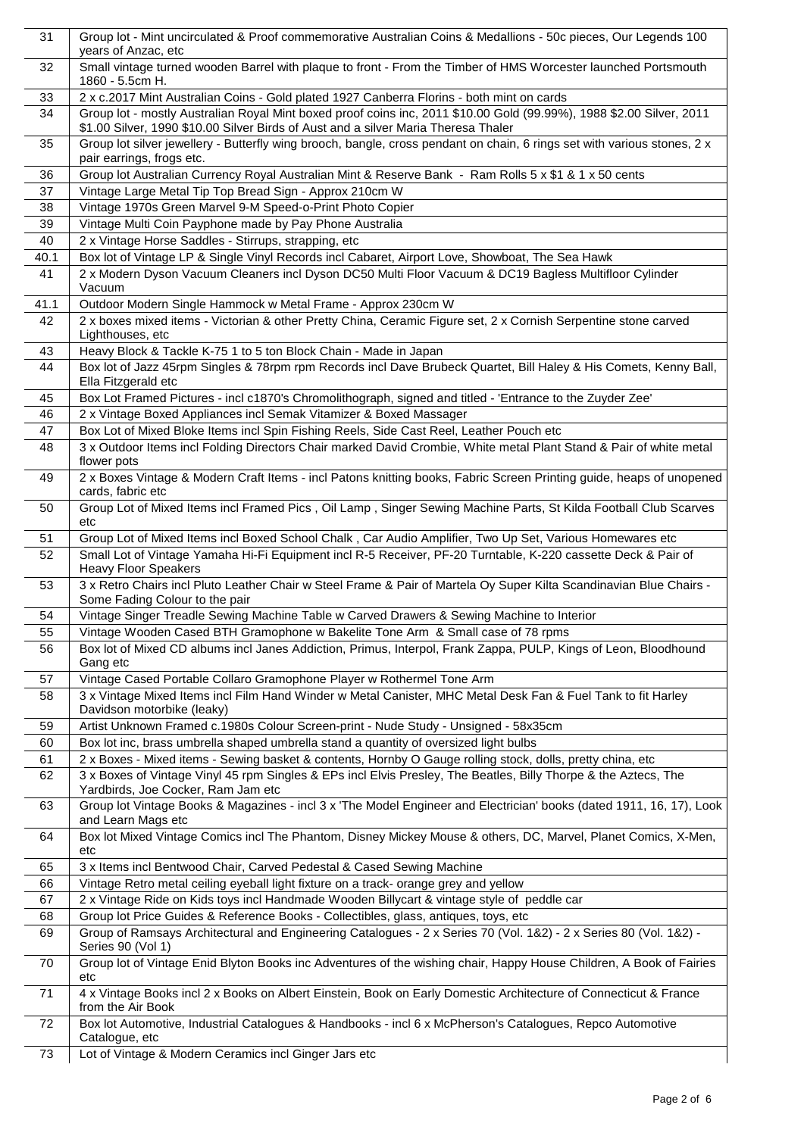| 31       | Group lot - Mint uncirculated & Proof commemorative Australian Coins & Medallions - 50c pieces, Our Legends 100<br>years of Anzac, etc                                                                     |
|----------|------------------------------------------------------------------------------------------------------------------------------------------------------------------------------------------------------------|
| 32       | Small vintage turned wooden Barrel with plaque to front - From the Timber of HMS Worcester launched Portsmouth<br>1860 - 5.5cm H.                                                                          |
| 33       | 2 x c.2017 Mint Australian Coins - Gold plated 1927 Canberra Florins - both mint on cards                                                                                                                  |
| 34       | Group lot - mostly Australian Royal Mint boxed proof coins inc, 2011 \$10.00 Gold (99.99%), 1988 \$2.00 Silver, 2011<br>\$1.00 Silver, 1990 \$10.00 Silver Birds of Aust and a silver Maria Theresa Thaler |
| 35       | Group lot silver jewellery - Butterfly wing brooch, bangle, cross pendant on chain, 6 rings set with various stones, 2 x<br>pair earrings, frogs etc.                                                      |
| 36       | Group lot Australian Currency Royal Australian Mint & Reserve Bank - Ram Rolls 5 x \$1 & 1 x 50 cents                                                                                                      |
| 37       | Vintage Large Metal Tip Top Bread Sign - Approx 210cm W                                                                                                                                                    |
| 38       | Vintage 1970s Green Marvel 9-M Speed-o-Print Photo Copier                                                                                                                                                  |
| 39       | Vintage Multi Coin Payphone made by Pay Phone Australia                                                                                                                                                    |
| 40       | 2 x Vintage Horse Saddles - Stirrups, strapping, etc                                                                                                                                                       |
| 40.1     | Box lot of Vintage LP & Single Vinyl Records incl Cabaret, Airport Love, Showboat, The Sea Hawk                                                                                                            |
| 41       | 2 x Modern Dyson Vacuum Cleaners incl Dyson DC50 Multi Floor Vacuum & DC19 Bagless Multifloor Cylinder<br>Vacuum                                                                                           |
| 41.1     | Outdoor Modern Single Hammock w Metal Frame - Approx 230cm W                                                                                                                                               |
| 42       | 2 x boxes mixed items - Victorian & other Pretty China, Ceramic Figure set, 2 x Cornish Serpentine stone carved<br>Lighthouses, etc                                                                        |
| 43       | Heavy Block & Tackle K-75 1 to 5 ton Block Chain - Made in Japan                                                                                                                                           |
| 44       | Box lot of Jazz 45rpm Singles & 78rpm rpm Records incl Dave Brubeck Quartet, Bill Haley & His Comets, Kenny Ball,<br>Ella Fitzgerald etc                                                                   |
| 45       | Box Lot Framed Pictures - incl c1870's Chromolithograph, signed and titled - 'Entrance to the Zuyder Zee'                                                                                                  |
| 46       | 2 x Vintage Boxed Appliances incl Semak Vitamizer & Boxed Massager                                                                                                                                         |
| 47       | Box Lot of Mixed Bloke Items incl Spin Fishing Reels, Side Cast Reel, Leather Pouch etc                                                                                                                    |
| 48       | 3 x Outdoor Items incl Folding Directors Chair marked David Crombie, White metal Plant Stand & Pair of white metal<br>flower pots                                                                          |
| 49       | 2 x Boxes Vintage & Modern Craft Items - incl Patons knitting books, Fabric Screen Printing guide, heaps of unopened<br>cards, fabric etc                                                                  |
| 50       | Group Lot of Mixed Items incl Framed Pics, Oil Lamp, Singer Sewing Machine Parts, St Kilda Football Club Scarves<br>etc                                                                                    |
| 51       | Group Lot of Mixed Items incl Boxed School Chalk, Car Audio Amplifier, Two Up Set, Various Homewares etc                                                                                                   |
| 52       | Small Lot of Vintage Yamaha Hi-Fi Equipment incl R-5 Receiver, PF-20 Turntable, K-220 cassette Deck & Pair of<br><b>Heavy Floor Speakers</b>                                                               |
| 53       | 3 x Retro Chairs incl Pluto Leather Chair w Steel Frame & Pair of Martela Oy Super Kilta Scandinavian Blue Chairs -<br>Some Fading Colour to the pair                                                      |
| 54       | Vintage Singer Treadle Sewing Machine Table w Carved Drawers & Sewing Machine to Interior                                                                                                                  |
| 55       | Vintage Wooden Cased BTH Gramophone w Bakelite Tone Arm & Small case of 78 rpms                                                                                                                            |
| 56       | Box lot of Mixed CD albums incl Janes Addiction, Primus, Interpol, Frank Zappa, PULP, Kings of Leon, Bloodhound<br>Gang etc                                                                                |
| 57       | Vintage Cased Portable Collaro Gramophone Player w Rothermel Tone Arm                                                                                                                                      |
| 58       | 3 x Vintage Mixed Items incl Film Hand Winder w Metal Canister, MHC Metal Desk Fan & Fuel Tank to fit Harley<br>Davidson motorbike (leaky)                                                                 |
| 59       | Artist Unknown Framed c.1980s Colour Screen-print - Nude Study - Unsigned - 58x35cm                                                                                                                        |
| 60       | Box lot inc, brass umbrella shaped umbrella stand a quantity of oversized light bulbs                                                                                                                      |
| 61       | 2 x Boxes - Mixed items - Sewing basket & contents, Hornby O Gauge rolling stock, dolls, pretty china, etc                                                                                                 |
| 62       | 3 x Boxes of Vintage Vinyl 45 rpm Singles & EPs incl Elvis Presley, The Beatles, Billy Thorpe & the Aztecs, The<br>Yardbirds, Joe Cocker, Ram Jam etc                                                      |
| 63       | Group lot Vintage Books & Magazines - incl 3 x 'The Model Engineer and Electrician' books (dated 1911, 16, 17), Look<br>and Learn Mags etc                                                                 |
| 64       | Box lot Mixed Vintage Comics incl The Phantom, Disney Mickey Mouse & others, DC, Marvel, Planet Comics, X-Men,<br>etc                                                                                      |
| 65       | 3 x Items incl Bentwood Chair, Carved Pedestal & Cased Sewing Machine                                                                                                                                      |
| 66       | Vintage Retro metal ceiling eyeball light fixture on a track- orange grey and yellow                                                                                                                       |
| 67       | 2 x Vintage Ride on Kids toys incl Handmade Wooden Billycart & vintage style of peddle car                                                                                                                 |
| 68<br>69 | Group lot Price Guides & Reference Books - Collectibles, glass, antiques, toys, etc<br>Group of Ramsays Architectural and Engineering Catalogues - 2 x Series 70 (Vol. 1&2) - 2 x Series 80 (Vol. 1&2) -   |
| 70       | Series 90 (Vol 1)<br>Group lot of Vintage Enid Blyton Books inc Adventures of the wishing chair, Happy House Children, A Book of Fairies                                                                   |
| 71       | etc<br>4 x Vintage Books incl 2 x Books on Albert Einstein, Book on Early Domestic Architecture of Connecticut & France<br>from the Air Book                                                               |
| 72       | Box lot Automotive, Industrial Catalogues & Handbooks - incl 6 x McPherson's Catalogues, Repco Automotive<br>Catalogue, etc                                                                                |
| 73       | Lot of Vintage & Modern Ceramics incl Ginger Jars etc                                                                                                                                                      |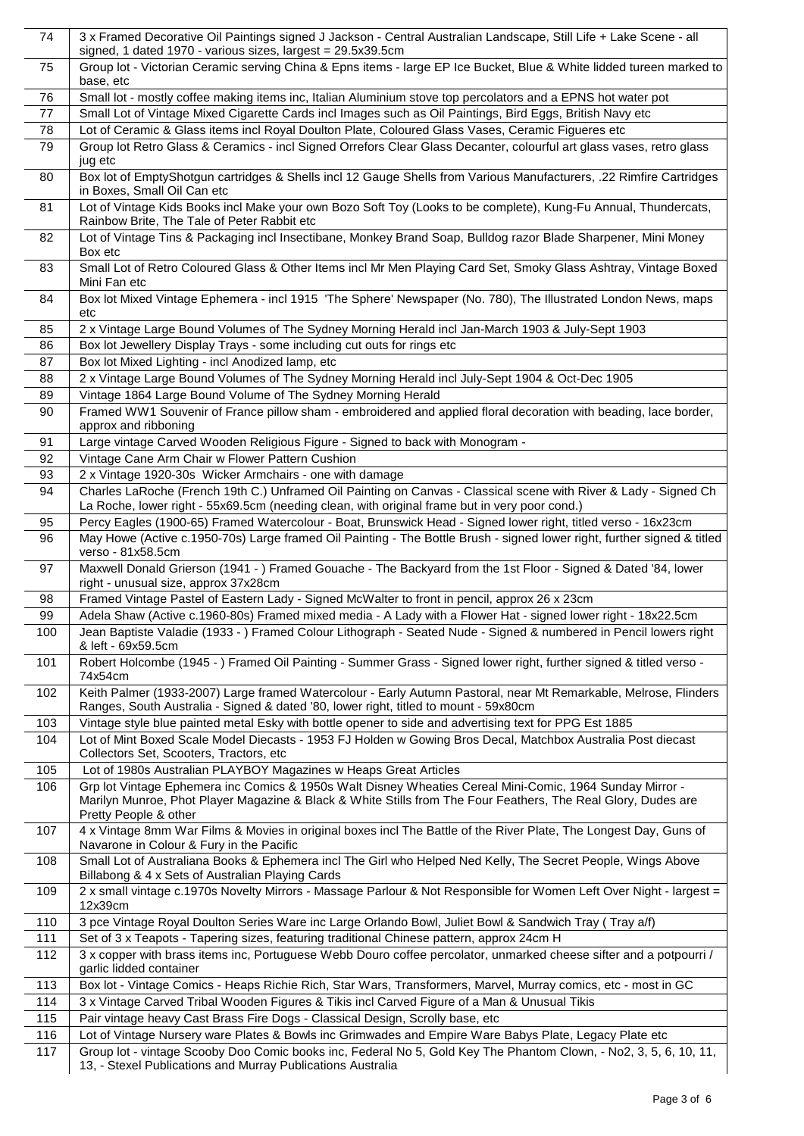| 74        | 3 x Framed Decorative Oil Paintings signed J Jackson - Central Australian Landscape, Still Life + Lake Scene - all<br>signed, 1 dated 1970 - various sizes, largest = 29.5x39.5cm                                                                             |
|-----------|---------------------------------------------------------------------------------------------------------------------------------------------------------------------------------------------------------------------------------------------------------------|
| 75        | Group lot - Victorian Ceramic serving China & Epns items - large EP Ice Bucket, Blue & White lidded tureen marked to<br>base, etc                                                                                                                             |
| 76        | Small lot - mostly coffee making items inc, Italian Aluminium stove top percolators and a EPNS hot water pot                                                                                                                                                  |
| 77        | Small Lot of Vintage Mixed Cigarette Cards incl Images such as Oil Paintings, Bird Eggs, British Navy etc                                                                                                                                                     |
| 78        | Lot of Ceramic & Glass items incl Royal Doulton Plate, Coloured Glass Vases, Ceramic Figueres etc                                                                                                                                                             |
| 79        | Group lot Retro Glass & Ceramics - incl Signed Orrefors Clear Glass Decanter, colourful art glass vases, retro glass<br>jug etc                                                                                                                               |
| 80        | Box lot of EmptyShotgun cartridges & Shells incl 12 Gauge Shells from Various Manufacturers, .22 Rimfire Cartridges<br>in Boxes, Small Oil Can etc                                                                                                            |
| 81        | Lot of Vintage Kids Books incl Make your own Bozo Soft Toy (Looks to be complete), Kung-Fu Annual, Thundercats,<br>Rainbow Brite, The Tale of Peter Rabbit etc                                                                                                |
| 82        | Lot of Vintage Tins & Packaging incl Insectibane, Monkey Brand Soap, Bulldog razor Blade Sharpener, Mini Money<br>Box etc                                                                                                                                     |
| 83        | Small Lot of Retro Coloured Glass & Other Items incl Mr Men Playing Card Set, Smoky Glass Ashtray, Vintage Boxed<br>Mini Fan etc                                                                                                                              |
| 84        | Box lot Mixed Vintage Ephemera - incl 1915 'The Sphere' Newspaper (No. 780), The Illustrated London News, maps<br>etc                                                                                                                                         |
| 85        | 2 x Vintage Large Bound Volumes of The Sydney Morning Herald incl Jan-March 1903 & July-Sept 1903                                                                                                                                                             |
| 86        | Box lot Jewellery Display Trays - some including cut outs for rings etc                                                                                                                                                                                       |
| 87        | Box lot Mixed Lighting - incl Anodized lamp, etc                                                                                                                                                                                                              |
| 88        | 2 x Vintage Large Bound Volumes of The Sydney Morning Herald incl July-Sept 1904 & Oct-Dec 1905                                                                                                                                                               |
| 89        | Vintage 1864 Large Bound Volume of The Sydney Morning Herald                                                                                                                                                                                                  |
| 90        | Framed WW1 Souvenir of France pillow sham - embroidered and applied floral decoration with beading, lace border,<br>approx and ribboning                                                                                                                      |
| 91        | Large vintage Carved Wooden Religious Figure - Signed to back with Monogram -                                                                                                                                                                                 |
| 92        | Vintage Cane Arm Chair w Flower Pattern Cushion                                                                                                                                                                                                               |
| 93        | 2 x Vintage 1920-30s Wicker Armchairs - one with damage                                                                                                                                                                                                       |
| 94        | Charles LaRoche (French 19th C.) Unframed Oil Painting on Canvas - Classical scene with River & Lady - Signed Ch<br>La Roche, lower right - 55x69.5cm (needing clean, with original frame but in very poor cond.)                                             |
| 95        | Percy Eagles (1900-65) Framed Watercolour - Boat, Brunswick Head - Signed lower right, titled verso - 16x23cm                                                                                                                                                 |
| 96        | May Howe (Active c.1950-70s) Large framed Oil Painting - The Bottle Brush - signed lower right, further signed & titled<br>verso - 81x58.5cm                                                                                                                  |
| 97        | Maxwell Donald Grierson (1941 - ) Framed Gouache - The Backyard from the 1st Floor - Signed & Dated '84, lower<br>right - unusual size, approx 37x28cm                                                                                                        |
| 98        | Framed Vintage Pastel of Eastern Lady - Signed McWalter to front in pencil, approx 26 x 23cm                                                                                                                                                                  |
| 99<br>100 | Adela Shaw (Active c.1960-80s) Framed mixed media - A Lady with a Flower Hat - signed lower right - 18x22.5cm                                                                                                                                                 |
| 101       | Jean Baptiste Valadie (1933 - ) Framed Colour Lithograph - Seated Nude - Signed & numbered in Pencil lowers right<br>& left - 69x59.5cm<br>Robert Holcombe (1945 - ) Framed Oil Painting - Summer Grass - Signed lower right, further signed & titled verso - |
| 102       | 74x54cm<br>Keith Palmer (1933-2007) Large framed Watercolour - Early Autumn Pastoral, near Mt Remarkable, Melrose, Flinders                                                                                                                                   |
| 103       | Ranges, South Australia - Signed & dated '80, lower right, titled to mount - 59x80cm<br>Vintage style blue painted metal Esky with bottle opener to side and advertising text for PPG Est 1885                                                                |
| 104       | Lot of Mint Boxed Scale Model Diecasts - 1953 FJ Holden w Gowing Bros Decal, Matchbox Australia Post diecast                                                                                                                                                  |
| 105       | Collectors Set, Scooters, Tractors, etc<br>Lot of 1980s Australian PLAYBOY Magazines w Heaps Great Articles                                                                                                                                                   |
| 106       | Grp lot Vintage Ephemera inc Comics & 1950s Walt Disney Wheaties Cereal Mini-Comic, 1964 Sunday Mirror -                                                                                                                                                      |
|           | Marilyn Munroe, Phot Player Magazine & Black & White Stills from The Four Feathers, The Real Glory, Dudes are<br>Pretty People & other                                                                                                                        |
| 107       | 4 x Vintage 8mm War Films & Movies in original boxes incl The Battle of the River Plate, The Longest Day, Guns of<br>Navarone in Colour & Fury in the Pacific                                                                                                 |
| 108       | Small Lot of Australiana Books & Ephemera incl The Girl who Helped Ned Kelly, The Secret People, Wings Above<br>Billabong & 4 x Sets of Australian Playing Cards                                                                                              |
| 109       | 2 x small vintage c.1970s Novelty Mirrors - Massage Parlour & Not Responsible for Women Left Over Night - largest =<br>12x39cm                                                                                                                                |
| 110       | 3 pce Vintage Royal Doulton Series Ware inc Large Orlando Bowl, Juliet Bowl & Sandwich Tray (Tray a/f)                                                                                                                                                        |
| 111       | Set of 3 x Teapots - Tapering sizes, featuring traditional Chinese pattern, approx 24cm H                                                                                                                                                                     |
| 112       | 3 x copper with brass items inc, Portuguese Webb Douro coffee percolator, unmarked cheese sifter and a potpourri /<br>garlic lidded container                                                                                                                 |
| 113       | Box lot - Vintage Comics - Heaps Richie Rich, Star Wars, Transformers, Marvel, Murray comics, etc - most in GC                                                                                                                                                |
| 114       | 3 x Vintage Carved Tribal Wooden Figures & Tikis incl Carved Figure of a Man & Unusual Tikis                                                                                                                                                                  |
| 115       | Pair vintage heavy Cast Brass Fire Dogs - Classical Design, Scrolly base, etc                                                                                                                                                                                 |
| 116       | Lot of Vintage Nursery ware Plates & Bowls inc Grimwades and Empire Ware Babys Plate, Legacy Plate etc                                                                                                                                                        |
| 117       | Group lot - vintage Scooby Doo Comic books inc, Federal No 5, Gold Key The Phantom Clown, - No2, 3, 5, 6, 10, 11,<br>13, - Stexel Publications and Murray Publications Australia                                                                              |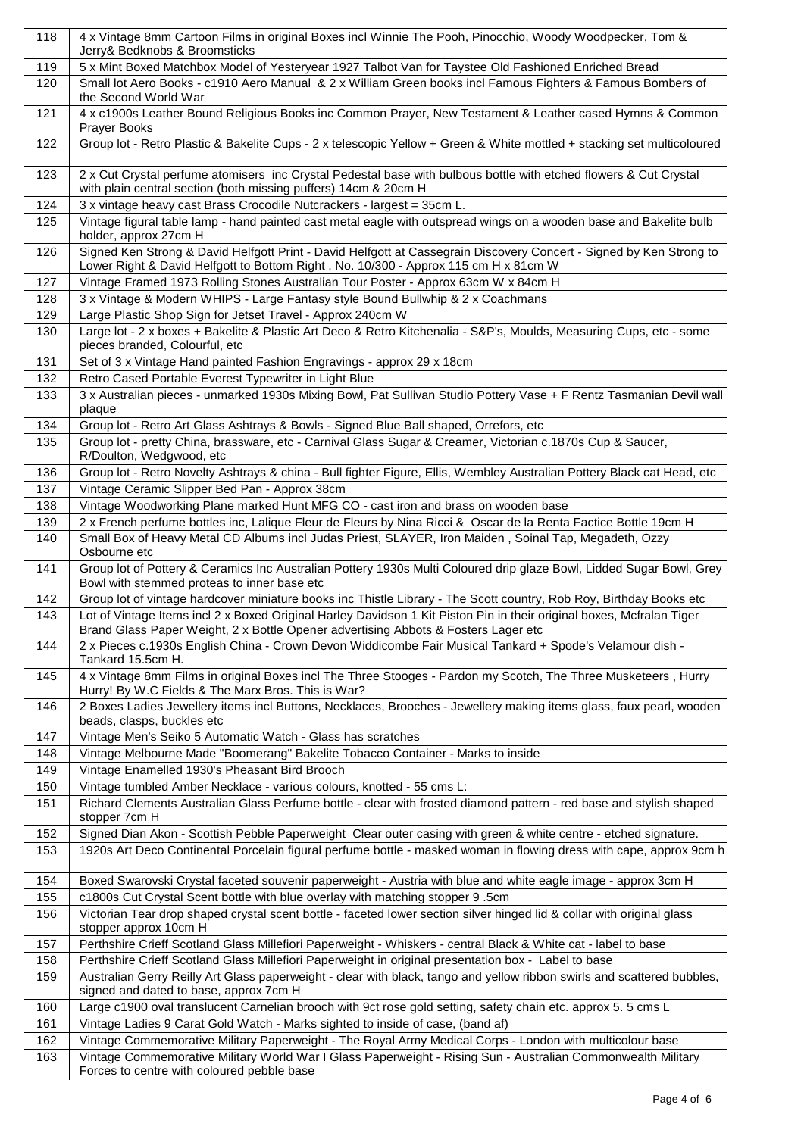| 118        | 4 x Vintage 8mm Cartoon Films in original Boxes incl Winnie The Pooh, Pinocchio, Woody Woodpecker, Tom &<br>Jerry& Bedknobs & Broomsticks                                                                                                    |
|------------|----------------------------------------------------------------------------------------------------------------------------------------------------------------------------------------------------------------------------------------------|
| 119        | 5 x Mint Boxed Matchbox Model of Yesteryear 1927 Talbot Van for Taystee Old Fashioned Enriched Bread                                                                                                                                         |
| 120        | Small lot Aero Books - c1910 Aero Manual & 2 x William Green books incl Famous Fighters & Famous Bombers of<br>the Second World War                                                                                                          |
| 121        | 4 x c1900s Leather Bound Religious Books inc Common Prayer, New Testament & Leather cased Hymns & Common<br>Prayer Books                                                                                                                     |
| 122        | Group lot - Retro Plastic & Bakelite Cups - 2 x telescopic Yellow + Green & White mottled + stacking set multicoloured                                                                                                                       |
| 123        | 2 x Cut Crystal perfume atomisers inc Crystal Pedestal base with bulbous bottle with etched flowers & Cut Crystal<br>with plain central section (both missing puffers) 14cm & 20cm H                                                         |
| 124        | 3 x vintage heavy cast Brass Crocodile Nutcrackers - largest = 35cm L.                                                                                                                                                                       |
| 125        | Vintage figural table lamp - hand painted cast metal eagle with outspread wings on a wooden base and Bakelite bulb<br>holder, approx 27cm H                                                                                                  |
| 126        | Signed Ken Strong & David Helfgott Print - David Helfgott at Cassegrain Discovery Concert - Signed by Ken Strong to<br>Lower Right & David Helfgott to Bottom Right, No. 10/300 - Approx 115 cm H x 81cm W                                   |
| 127        | Vintage Framed 1973 Rolling Stones Australian Tour Poster - Approx 63cm W x 84cm H                                                                                                                                                           |
| 128        | 3 x Vintage & Modern WHIPS - Large Fantasy style Bound Bullwhip & 2 x Coachmans                                                                                                                                                              |
| 129        | Large Plastic Shop Sign for Jetset Travel - Approx 240cm W                                                                                                                                                                                   |
| 130        | Large lot - 2 x boxes + Bakelite & Plastic Art Deco & Retro Kitchenalia - S&P's, Moulds, Measuring Cups, etc - some<br>pieces branded, Colourful, etc                                                                                        |
| 131        | Set of 3 x Vintage Hand painted Fashion Engravings - approx 29 x 18cm                                                                                                                                                                        |
| 132        | Retro Cased Portable Everest Typewriter in Light Blue                                                                                                                                                                                        |
| 133        | 3 x Australian pieces - unmarked 1930s Mixing Bowl, Pat Sullivan Studio Pottery Vase + F Rentz Tasmanian Devil wall<br>plaque                                                                                                                |
| 134        | Group lot - Retro Art Glass Ashtrays & Bowls - Signed Blue Ball shaped, Orrefors, etc                                                                                                                                                        |
| 135        | Group lot - pretty China, brassware, etc - Carnival Glass Sugar & Creamer, Victorian c.1870s Cup & Saucer,<br>R/Doulton, Wedgwood, etc                                                                                                       |
| 136        | Group lot - Retro Novelty Ashtrays & china - Bull fighter Figure, Ellis, Wembley Australian Pottery Black cat Head, etc                                                                                                                      |
| 137        | Vintage Ceramic Slipper Bed Pan - Approx 38cm                                                                                                                                                                                                |
| 138<br>139 | Vintage Woodworking Plane marked Hunt MFG CO - cast iron and brass on wooden base<br>2 x French perfume bottles inc, Lalique Fleur de Fleurs by Nina Ricci & Oscar de la Renta Factice Bottle 19cm H                                         |
| 140        | Small Box of Heavy Metal CD Albums incl Judas Priest, SLAYER, Iron Maiden, Soinal Tap, Megadeth, Ozzy                                                                                                                                        |
| 141        | Osbourne etc<br>Group lot of Pottery & Ceramics Inc Australian Pottery 1930s Multi Coloured drip glaze Bowl, Lidded Sugar Bowl, Grey                                                                                                         |
|            | Bowl with stemmed proteas to inner base etc                                                                                                                                                                                                  |
| 142<br>143 | Group lot of vintage hardcover miniature books inc Thistle Library - The Scott country, Rob Roy, Birthday Books etc<br>Lot of Vintage Items incl 2 x Boxed Original Harley Davidson 1 Kit Piston Pin in their original boxes, Mcfralan Tiger |
|            | Brand Glass Paper Weight, 2 x Bottle Opener advertising Abbots & Fosters Lager etc                                                                                                                                                           |
| 144        | 2 x Pieces c.1930s English China - Crown Devon Widdicombe Fair Musical Tankard + Spode's Velamour dish -<br>Tankard 15.5cm H.                                                                                                                |
| 145        | 4 x Vintage 8mm Films in original Boxes incl The Three Stooges - Pardon my Scotch, The Three Musketeers, Hurry<br>Hurry! By W.C Fields & The Marx Bros. This is War?                                                                         |
| 146        | 2 Boxes Ladies Jewellery items incl Buttons, Necklaces, Brooches - Jewellery making items glass, faux pearl, wooden<br>beads, clasps, buckles etc                                                                                            |
| 147        | Vintage Men's Seiko 5 Automatic Watch - Glass has scratches                                                                                                                                                                                  |
| 148        | Vintage Melbourne Made "Boomerang" Bakelite Tobacco Container - Marks to inside                                                                                                                                                              |
| 149<br>150 | Vintage Enamelled 1930's Pheasant Bird Brooch<br>Vintage tumbled Amber Necklace - various colours, knotted - 55 cms L:                                                                                                                       |
| 151        | Richard Clements Australian Glass Perfume bottle - clear with frosted diamond pattern - red base and stylish shaped                                                                                                                          |
| 152        | stopper 7cm H<br>Signed Dian Akon - Scottish Pebble Paperweight Clear outer casing with green & white centre - etched signature.                                                                                                             |
| 153        | 1920s Art Deco Continental Porcelain figural perfume bottle - masked woman in flowing dress with cape, approx 9cm h                                                                                                                          |
| 154        | Boxed Swarovski Crystal faceted souvenir paperweight - Austria with blue and white eagle image - approx 3cm H                                                                                                                                |
| 155        | c1800s Cut Crystal Scent bottle with blue overlay with matching stopper 9.5cm                                                                                                                                                                |
| 156        | Victorian Tear drop shaped crystal scent bottle - faceted lower section silver hinged lid & collar with original glass<br>stopper approx 10cm H                                                                                              |
| 157        | Perthshire Crieff Scotland Glass Millefiori Paperweight - Whiskers - central Black & White cat - label to base                                                                                                                               |
| 158        | Perthshire Crieff Scotland Glass Millefiori Paperweight in original presentation box - Label to base                                                                                                                                         |
| 159        | Australian Gerry Reilly Art Glass paperweight - clear with black, tango and yellow ribbon swirls and scattered bubbles,<br>signed and dated to base, approx 7cm H                                                                            |
| 160        | Large c1900 oval translucent Carnelian brooch with 9ct rose gold setting, safety chain etc. approx 5. 5 cms L                                                                                                                                |
| 161        | Vintage Ladies 9 Carat Gold Watch - Marks sighted to inside of case, (band af)                                                                                                                                                               |
| 162        | Vintage Commemorative Military Paperweight - The Royal Army Medical Corps - London with multicolour base                                                                                                                                     |
| 163        | Vintage Commemorative Military World War I Glass Paperweight - Rising Sun - Australian Commonwealth Military<br>Forces to centre with coloured pebble base                                                                                   |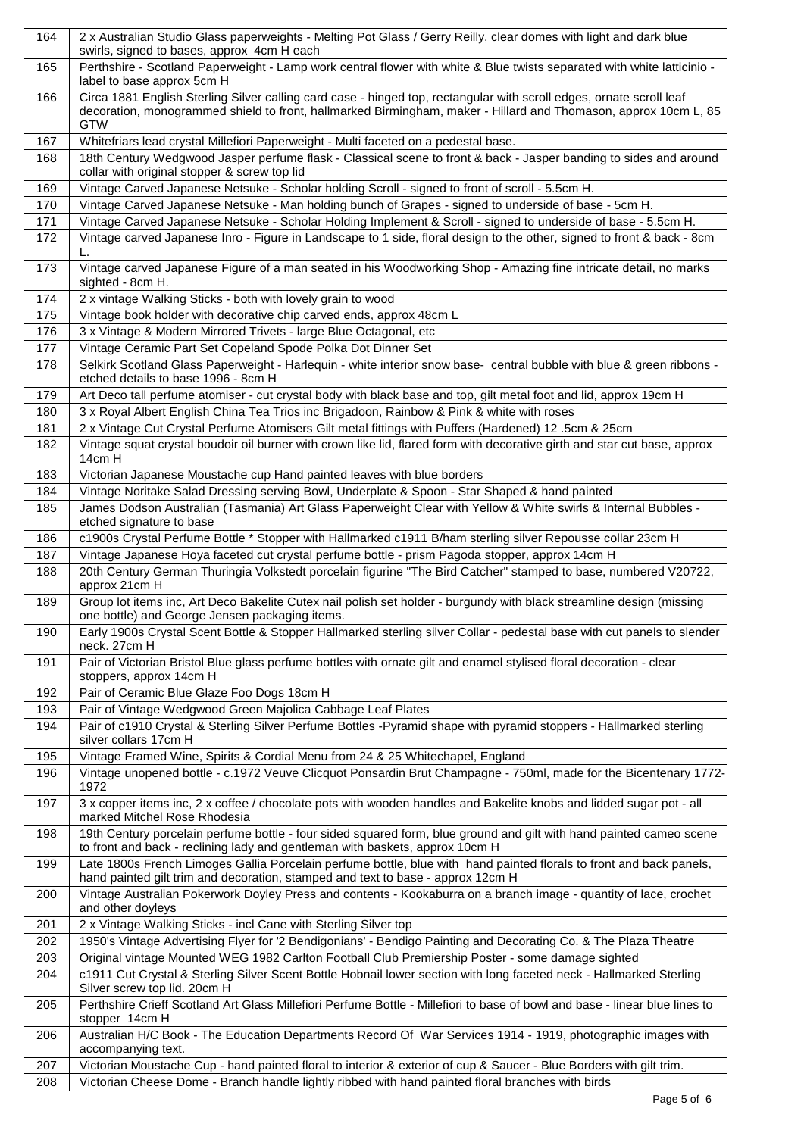| 164 | 2 x Australian Studio Glass paperweights - Melting Pot Glass / Gerry Reilly, clear domes with light and dark blue<br>swirls, signed to bases, approx 4cm H each                                                                                       |
|-----|-------------------------------------------------------------------------------------------------------------------------------------------------------------------------------------------------------------------------------------------------------|
| 165 | Perthshire - Scotland Paperweight - Lamp work central flower with white & Blue twists separated with white latticinio -<br>label to base approx 5cm H                                                                                                 |
| 166 | Circa 1881 English Sterling Silver calling card case - hinged top, rectangular with scroll edges, ornate scroll leaf<br>decoration, monogrammed shield to front, hallmarked Birmingham, maker - Hillard and Thomason, approx 10cm L, 85<br><b>GTW</b> |
| 167 | Whitefriars lead crystal Millefiori Paperweight - Multi faceted on a pedestal base.                                                                                                                                                                   |
| 168 | 18th Century Wedgwood Jasper perfume flask - Classical scene to front & back - Jasper banding to sides and around<br>collar with original stopper & screw top lid                                                                                     |
| 169 | Vintage Carved Japanese Netsuke - Scholar holding Scroll - signed to front of scroll - 5.5cm H.                                                                                                                                                       |
| 170 | Vintage Carved Japanese Netsuke - Man holding bunch of Grapes - signed to underside of base - 5cm H.                                                                                                                                                  |
| 171 | Vintage Carved Japanese Netsuke - Scholar Holding Implement & Scroll - signed to underside of base - 5.5cm H.                                                                                                                                         |
| 172 | Vintage carved Japanese Inro - Figure in Landscape to 1 side, floral design to the other, signed to front & back - 8cm<br>L.                                                                                                                          |
| 173 | Vintage carved Japanese Figure of a man seated in his Woodworking Shop - Amazing fine intricate detail, no marks<br>sighted - 8cm H.                                                                                                                  |
| 174 | 2 x vintage Walking Sticks - both with lovely grain to wood                                                                                                                                                                                           |
| 175 | Vintage book holder with decorative chip carved ends, approx 48cm L                                                                                                                                                                                   |
| 176 | 3 x Vintage & Modern Mirrored Trivets - large Blue Octagonal, etc                                                                                                                                                                                     |
| 177 | Vintage Ceramic Part Set Copeland Spode Polka Dot Dinner Set                                                                                                                                                                                          |
| 178 | Selkirk Scotland Glass Paperweight - Harlequin - white interior snow base- central bubble with blue & green ribbons -<br>etched details to base 1996 - 8cm H                                                                                          |
| 179 | Art Deco tall perfume atomiser - cut crystal body with black base and top, gilt metal foot and lid, approx 19cm H                                                                                                                                     |
| 180 | 3 x Royal Albert English China Tea Trios inc Brigadoon, Rainbow & Pink & white with roses                                                                                                                                                             |
| 181 | 2 x Vintage Cut Crystal Perfume Atomisers Gilt metal fittings with Puffers (Hardened) 12 .5cm & 25cm                                                                                                                                                  |
| 182 | Vintage squat crystal boudoir oil burner with crown like lid, flared form with decorative girth and star cut base, approx<br>14cm H                                                                                                                   |
| 183 | Victorian Japanese Moustache cup Hand painted leaves with blue borders                                                                                                                                                                                |
| 184 | Vintage Noritake Salad Dressing serving Bowl, Underplate & Spoon - Star Shaped & hand painted                                                                                                                                                         |
| 185 | James Dodson Australian (Tasmania) Art Glass Paperweight Clear with Yellow & White swirls & Internal Bubbles -<br>etched signature to base                                                                                                            |
| 186 | c1900s Crystal Perfume Bottle * Stopper with Hallmarked c1911 B/ham sterling silver Repousse collar 23cm H                                                                                                                                            |
| 187 | Vintage Japanese Hoya faceted cut crystal perfume bottle - prism Pagoda stopper, approx 14cm H                                                                                                                                                        |
| 188 | 20th Century German Thuringia Volkstedt porcelain figurine "The Bird Catcher" stamped to base, numbered V20722,<br>approx 21cm H                                                                                                                      |
| 189 | Group lot items inc, Art Deco Bakelite Cutex nail polish set holder - burgundy with black streamline design (missing<br>one bottle) and George Jensen packaging items.                                                                                |
| 190 | Early 1900s Crystal Scent Bottle & Stopper Hallmarked sterling silver Collar - pedestal base with cut panels to slender<br>neck. 27cm H                                                                                                               |
| 191 | Pair of Victorian Bristol Blue glass perfume bottles with ornate gilt and enamel stylised floral decoration - clear<br>stoppers, approx 14cm H                                                                                                        |
| 192 | Pair of Ceramic Blue Glaze Foo Dogs 18cm H                                                                                                                                                                                                            |
| 193 | Pair of Vintage Wedgwood Green Majolica Cabbage Leaf Plates                                                                                                                                                                                           |
| 194 | Pair of c1910 Crystal & Sterling Silver Perfume Bottles -Pyramid shape with pyramid stoppers - Hallmarked sterling<br>silver collars 17cm H                                                                                                           |
| 195 | Vintage Framed Wine, Spirits & Cordial Menu from 24 & 25 Whitechapel, England                                                                                                                                                                         |
| 196 | Vintage unopened bottle - c.1972 Veuve Clicquot Ponsardin Brut Champagne - 750ml, made for the Bicentenary 1772-<br>1972                                                                                                                              |
| 197 | 3 x copper items inc, 2 x coffee / chocolate pots with wooden handles and Bakelite knobs and lidded sugar pot - all<br>marked Mitchel Rose Rhodesia                                                                                                   |
| 198 | 19th Century porcelain perfume bottle - four sided squared form, blue ground and gilt with hand painted cameo scene<br>to front and back - reclining lady and gentleman with baskets, approx 10cm H                                                   |
| 199 | Late 1800s French Limoges Gallia Porcelain perfume bottle, blue with hand painted florals to front and back panels,<br>hand painted gilt trim and decoration, stamped and text to base - approx 12cm H                                                |
| 200 | Vintage Australian Pokerwork Doyley Press and contents - Kookaburra on a branch image - quantity of lace, crochet<br>and other doyleys                                                                                                                |
| 201 | 2 x Vintage Walking Sticks - incl Cane with Sterling Silver top                                                                                                                                                                                       |
| 202 | 1950's Vintage Advertising Flyer for '2 Bendigonians' - Bendigo Painting and Decorating Co. & The Plaza Theatre                                                                                                                                       |
| 203 | Original vintage Mounted WEG 1982 Carlton Football Club Premiership Poster - some damage sighted                                                                                                                                                      |
| 204 | c1911 Cut Crystal & Sterling Silver Scent Bottle Hobnail lower section with long faceted neck - Hallmarked Sterling<br>Silver screw top lid. 20cm H                                                                                                   |
| 205 | Perthshire Crieff Scotland Art Glass Millefiori Perfume Bottle - Millefiori to base of bowl and base - linear blue lines to<br>stopper 14cm H                                                                                                         |
| 206 | Australian H/C Book - The Education Departments Record Of War Services 1914 - 1919, photographic images with<br>accompanying text.                                                                                                                    |
| 207 | Victorian Moustache Cup - hand painted floral to interior & exterior of cup & Saucer - Blue Borders with gilt trim.                                                                                                                                   |
| 208 | Victorian Cheese Dome - Branch handle lightly ribbed with hand painted floral branches with birds                                                                                                                                                     |